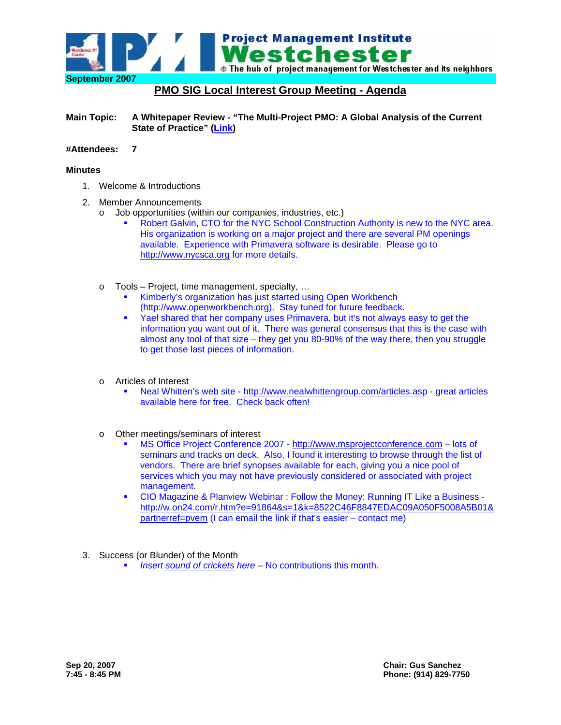

# **PMO SIG Local Interest Group Meeting - Agenda**

**Main Topic: A Whitepaper Review - "The Multi-Project PMO: A Global Analysis of the Current State of Practice" [\(Link](http://www.pmi.org/Pages/subfeatureright.aspx))** 

#### **#Attendees: 7**

#### **Minutes**

- 1. Welcome & Introductions
- 2. Member Announcements
	- o Job opportunities (within our companies, industries, etc.)
		- Robert Galvin, CTO for the NYC School Construction Authority is new to the NYC area. His organization is working on a major project and there are several PM openings available. Experience with Primavera software is desirable. Please go to [http://www.nycsca.org](http://www.nycsca.org/) for more details.
	- o Tools Project, time management, specialty, …
		- Kimberly's organization has just started using Open Workbench [\(http://www.openworkbench.org\)](http://www.openworkbench.org/). Stay tuned for future feedback.
		- Yael shared that her company uses Primavera, but it's not always easy to get the information you want out of it. There was general consensus that this is the case with almost any tool of that size – they get you 80-90% of the way there, then you struggle to get those last pieces of information.
	- o Articles of Interest
		- Neal Whitten's web site <http://www.nealwhittengroup.com/articles.asp> great articles available here for free. Check back often!
	- o Other meetings/seminars of interest
		- MS Office Project Conference 2007 - [http://www.msprojectconference.com](http://www.msprojectconference.com/) lots of seminars and tracks on deck. Also, I found it interesting to browse through the list of vendors. There are brief synopses available for each, giving you a nice pool of services which you may not have previously considered or associated with project management.
		- CIO Magazine & Planview Webinar : Follow the Money: Running IT Like a Business [http://w.on24.com/r.htm?e=91864&s=1&k=8522C46F8847EDAC09A050F5008A5B01&](http://w.on24.com/r.htm?e=91864&s=1&k=8522C46F8847EDAC09A050F5008A5B01&partnerref=pvem) [partnerref=pvem](http://w.on24.com/r.htm?e=91864&s=1&k=8522C46F8847EDAC09A050F5008A5B01&partnerref=pvem) (I can email the link if that's easier – contact me)
- 3. Success (or Blunder) of the Month
	- *Insert [sound of crickets](http://www.naturesongs.com/cricket1.wav) here* No contributions this month.